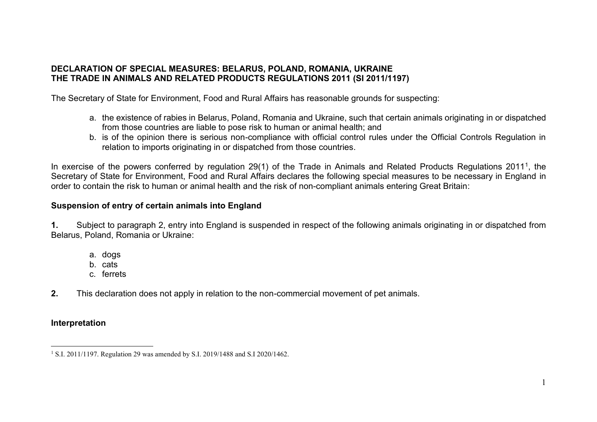# **DECLARATION OF SPECIAL MEASURES: BELARUS, POLAND, ROMANIA, UKRAINE THE TRADE IN ANIMALS AND RELATED PRODUCTS REGULATIONS 2011 (SI 2011/1197)**

The Secretary of State for Environment, Food and Rural Affairs has reasonable grounds for suspecting:

- a. the existence of rabies in Belarus, Poland, Romania and Ukraine, such that certain animals originating in or dispatched from those countries are liable to pose risk to human or animal health; and
- b. is of the opinion there is serious non-compliance with official control rules under the Official Controls Regulation in relation to imports originating in or dispatched from those countries.

In exercise of the powers conferred by regulation 29(1) of the Trade in Animals and Related Products Regulations 2011<sup>1</sup>, the Secretary of State for Environment, Food and Rural Affairs declares the following special measures to be necessary in England in order to contain the risk to human or animal health and the risk of non-compliant animals entering Great Britain:

### **Suspension of entry of certain animals into England**

**1.** Subject to paragraph 2, entry into England is suspended in respect of the following animals originating in or dispatched from Belarus, Poland, Romania or Ukraine:

- a. dogs
- b. cats
- c. ferrets
- **2.** This declaration does not apply in relation to the non-commercial movement of pet animals.

# **Interpretation**

<sup>&</sup>lt;sup>1</sup> S.I. 2011/1197. Regulation 29 was amended by S.I. 2019/1488 and S.I 2020/1462.